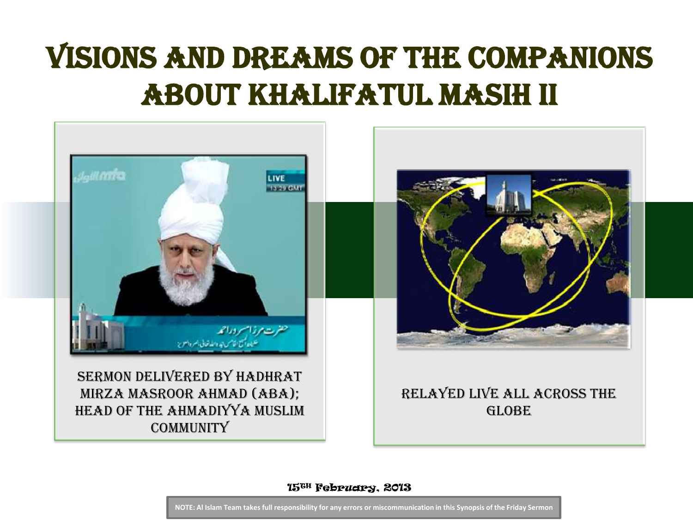## Visions and dreams of the Companions about Khalifatul Masih II



15TH February, 2013

**NOTE: Al Islam Team takes full responsibility for any errors or miscommunication in this Synopsis of the Friday Sermon**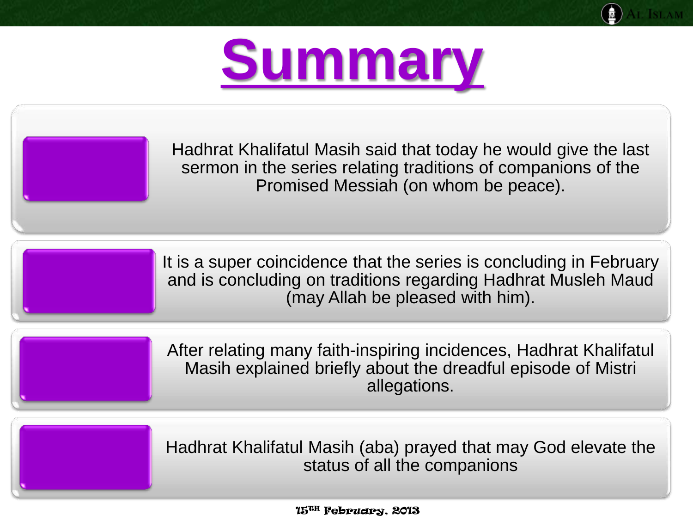



Hadhrat Khalifatul Masih said that today he would give the last sermon in the series relating traditions of companions of the Promised Messiah (on whom be peace).

It is a super coincidence that the series is concluding in February and is concluding on traditions regarding Hadhrat Musleh Maud (may Allah be pleased with him).

After relating many faith-inspiring incidences, Hadhrat Khalifatul Masih explained briefly about the dreadful episode of Mistri allegations.

Hadhrat Khalifatul Masih (aba) prayed that may God elevate the status of all the companions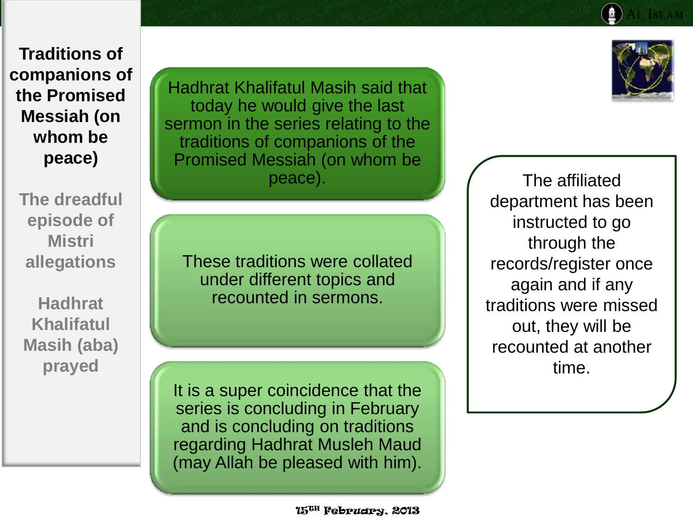**The dreadful episode of Mistri allegations**

**Hadhrat Khalifatul Masih (aba) prayed** 

Hadhrat Khalifatul Masih said that today he would give the last sermon in the series relating to the traditions of companions of the Promised Messiah (on whom be peace).

These traditions were collated under different topics and recounted in sermons.

It is a super coincidence that the series is concluding in February and is concluding on traditions regarding Hadhrat Musleh Maud (may Allah be pleased with him).

The affiliated department has been instructed to go through the records/register once again and if any traditions were missed out, they will be recounted at another time.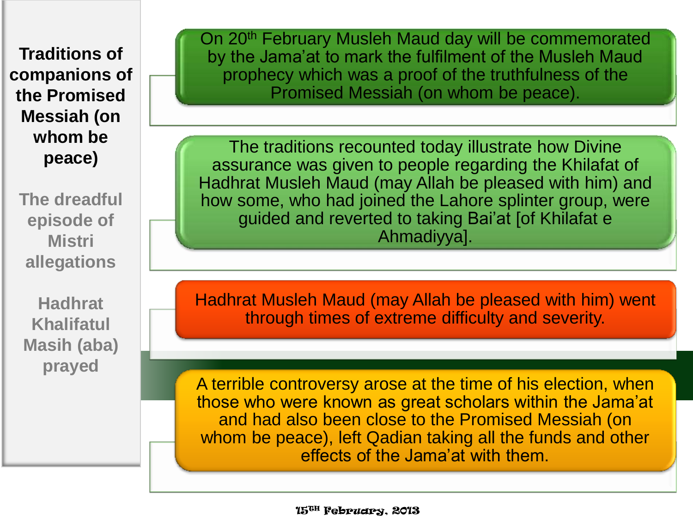**The dreadful episode of Mistri allegations**

**Hadhrat Khalifatul Masih (aba) prayed** 

On 20<sup>th</sup> February Musleh Maud day will be commemorated by the Jama'at to mark the fulfilment of the Musleh Maud prophecy which was a proof of the truthfulness of the Promised Messiah (on whom be peace).

The traditions recounted today illustrate how Divine assurance was given to people regarding the Khilafat of Hadhrat Musleh Maud (may Allah be pleased with him) and how some, who had joined the Lahore splinter group, were guided and reverted to taking Bai'at [of Khilafat e Ahmadiyya].

Hadhrat Musleh Maud (may Allah be pleased with him) went through times of extreme difficulty and severity.

A terrible controversy arose at the time of his election, when those who were known as great scholars within the Jama'at and had also been close to the Promised Messiah (on whom be peace), left Qadian taking all the funds and other effects of the Jama'at with them.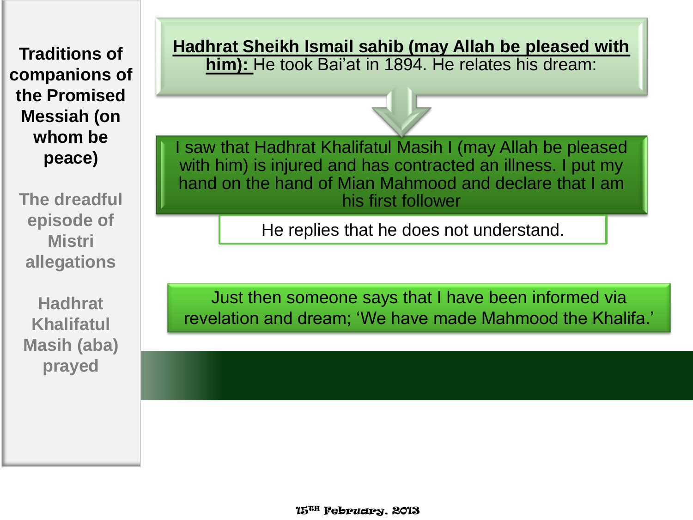**The dreadful episode of Mistri allegations**

**Hadhrat Khalifatul Masih (aba) prayed** 

**Hadhrat Sheikh Ismail sahib (may Allah be pleased with him):** He took Bai'at in 1894. He relates his dream:



I saw that Hadhrat Khalifatul Masih I (may Allah be pleased with him) is injured and has contracted an illness. I put my hand on the hand of Mian Mahmood and declare that I am his first follower

He replies that he does not understand.

Just then someone says that I have been informed via revelation and dream; 'We have made Mahmood the Khalifa.'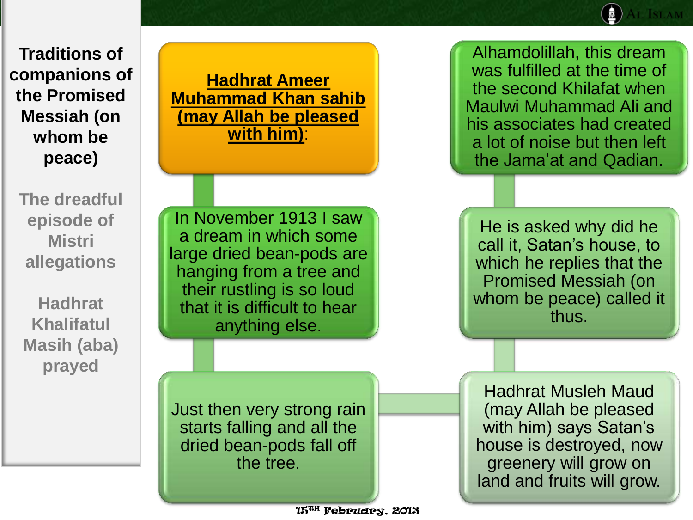**The dreadful episode of Mistri allegations**

**Hadhrat Khalifatul Masih (aba) prayed** 

**Hadhrat Ameer Muhammad Khan sahib (may Allah be pleased with him)**:

In November 1913 I saw a dream in which some large dried bean-pods are hanging from a tree and their rustling is so loud that it is difficult to hear anything else.

Just then very strong rain starts falling and all the dried bean-pods fall off the tree.

Alhamdolillah, this dream was fulfilled at the time of the second Khilafat when Maulwi Muhammad Ali and his associates had created a lot of noise but then left the Jama'at and Qadian.

He is asked why did he call it, Satan's house, to which he replies that the Promised Messiah (on whom be peace) called it thus.

Hadhrat Musleh Maud (may Allah be pleased with him) says Satan's house is destroyed, now greenery will grow on land and fruits will grow.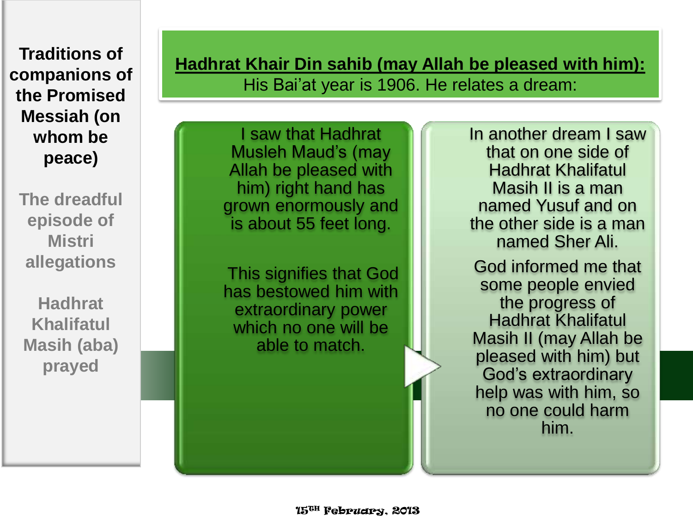**The dreadful episode of Mistri allegations**

**Hadhrat Khalifatul Masih (aba) prayed** 

**Hadhrat Khair Din sahib (may Allah be pleased with him):**  His Bai'at year is 1906. He relates a dream:

I saw that Hadhrat Musleh Maud's (may Allah be pleased with him) right hand has grown enormously and is about 55 feet long.

This signifies that God has bestowed him with extraordinary power which no one will be able to match.

In another dream I saw that on one side of Hadhrat Khalifatul Masih II is a man named Yusuf and on the other side is a man named Sher Ali.

God informed me that some people envied the progress of Hadhrat Khalifatul Masih II (may Allah be pleased with him) but God's extraordinary help was with him, so no one could harm him.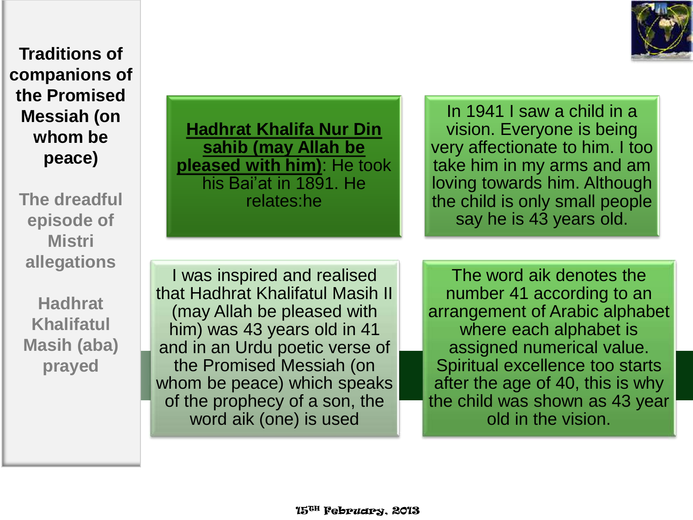

**The dreadful episode of Mistri allegations**

**Hadhrat Khalifatul Masih (aba) prayed** 

**Hadhrat Khalifa Nur Din sahib (may Allah be pleased with him)**: He took his Bai'at in 1891. He relates:he

In 1941 I saw a child in a vision. Everyone is being very affectionate to him. I too take him in my arms and am loving towards him. Although the child is only small people say he is 43 years old.

I was inspired and realised that Hadhrat Khalifatul Masih II (may Allah be pleased with him) was 43 years old in 41 and in an Urdu poetic verse of the Promised Messiah (on whom be peace) which speaks of the prophecy of a son, the word aik (one) is used

The word aik denotes the number 41 according to an arrangement of Arabic alphabet where each alphabet is assigned numerical value. Spiritual excellence too starts after the age of 40, this is why the child was shown as 43 year old in the vision.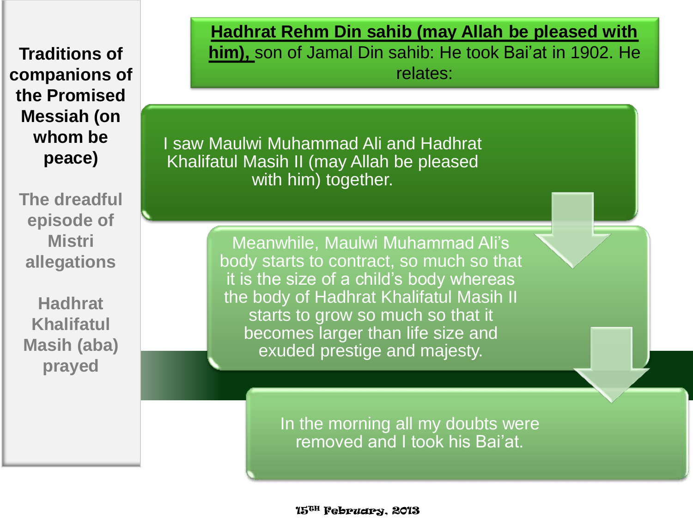**The dreadful episode of Mistri allegations**

**Hadhrat Khalifatul Masih (aba) prayed** 

**Hadhrat Rehm Din sahib (may Allah be pleased with him),** son of Jamal Din sahib: He took Bai'at in 1902. He relates:

I saw Maulwi Muhammad Ali and Hadhrat Khalifatul Masih II (may Allah be pleased with him) together.

> Meanwhile, Maulwi Muhammad Ali's body starts to contract, so much so that it is the size of a child's body whereas the body of Hadhrat Khalifatul Masih II starts to grow so much so that it becomes larger than life size and exuded prestige and majesty.

> > In the morning all my doubts were removed and I took his Bai'at.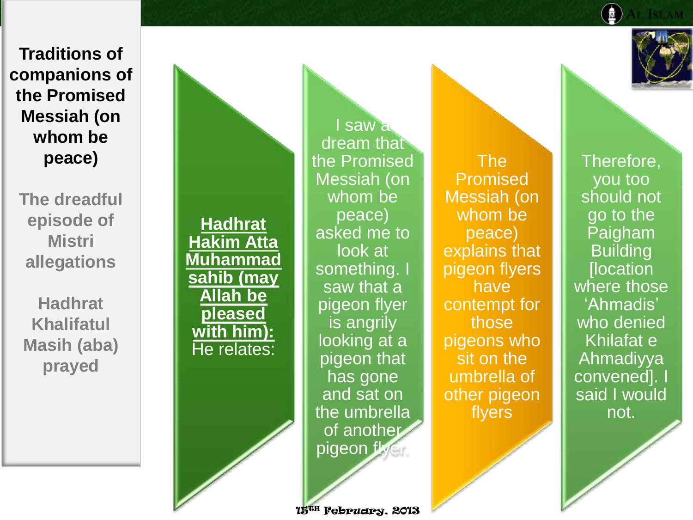**The dreadful episode of Mistri allegations**

**Hadhrat Khalifatul Masih (aba) prayed** 

**Hadhrat Hakim Atta Muhammad sahib (may Allah be pleased with him):**  He relates:

I saw a dream that the Promised Messiah (on whom be peace) asked me to look at something. I saw that a pigeon flyer is angrily looking at a pigeon that has gone and sat on the umbrella of another pigeon flyer.

15TH February, 2013

The Promised Messiah (on whom be peace) explains that pigeon flyers have contempt for those pigeons who sit on the umbrella of other pigeon flyers



Therefore, you too should not go to the Paigham Building **[location** where those 'Ahmadis' who denied Khilafat e Ahmadiyya convened]. said I would not.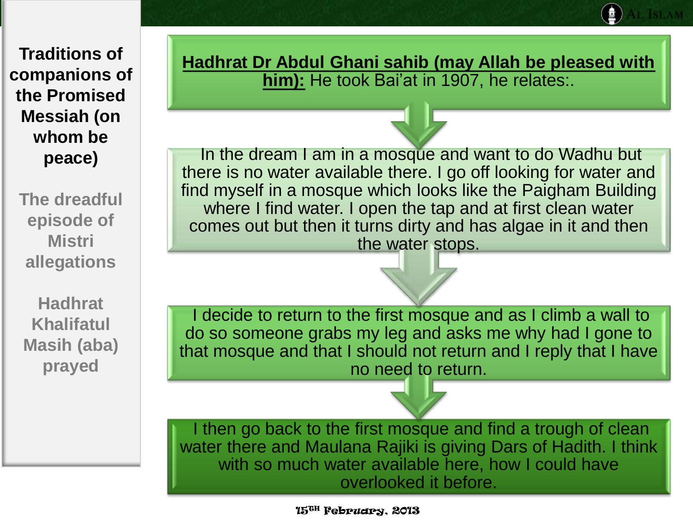**The dreadful episode of Mistri allegations**

**Hadhrat Khalifatul Masih (aba) prayed** 

**Hadhrat Dr Abdul Ghani sahib (may Allah be pleased with him):** He took Bai'at in 1907, he relates:.

In the dream I am in a mosque and want to do Wadhu but there is no water available there. I go off looking for water and find myself in a mosque which looks like the Paigham Building where I find water. I open the tap and at first clean water comes out but then it turns dirty and has algae in it and then the water stops.

I decide to return to the first mosque and as I climb a wall to do so someone grabs my leg and asks me why had I gone to that mosque and that I should not return and I reply that I have no need to return.

I then go back to the first mosque and find a trough of clean water there and Maulana Rajiki is giving Dars of Hadith. I think with so much water available here, how I could have overlooked it before.

15TH February, 2013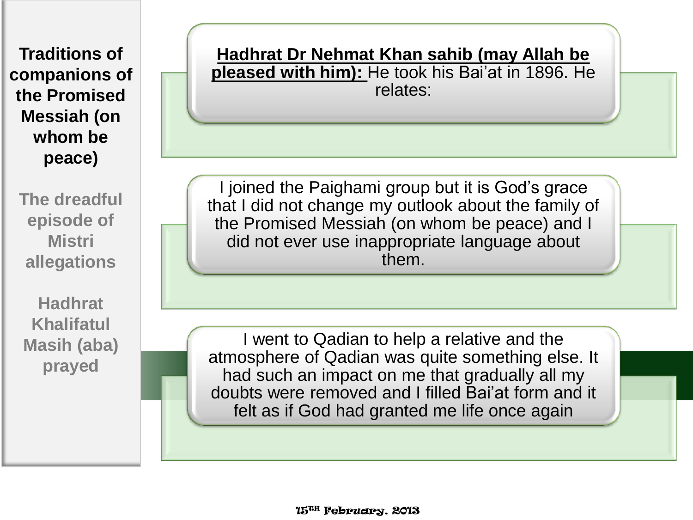**The dreadful episode of Mistri allegations**

**Hadhrat Khalifatul Masih (aba) prayed** 

**Hadhrat Dr Nehmat Khan sahib (may Allah be pleased with him):** He took his Bai'at in 1896. He relates:

I joined the Paighami group but it is God's grace that I did not change my outlook about the family of the Promised Messiah (on whom be peace) and I did not ever use inappropriate language about them.

I went to Qadian to help a relative and the atmosphere of Qadian was quite something else. It had such an impact on me that gradually all my doubts were removed and I filled Bai'at form and it felt as if God had granted me life once again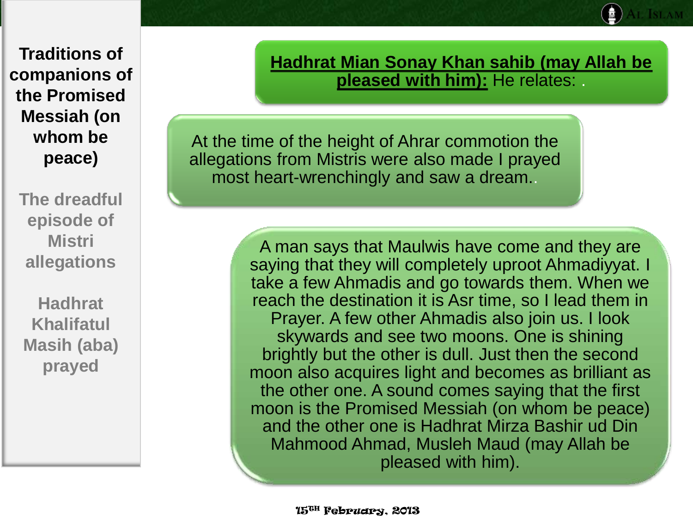**The dreadful episode of Mistri allegations**

**Hadhrat Khalifatul Masih (aba) prayed** 

**Hadhrat Mian Sonay Khan sahib (may Allah be pleased with him):** He relates: .

At the time of the height of Ahrar commotion the allegations from Mistris were also made I prayed most heart-wrenchingly and saw a dream..

> A man says that Maulwis have come and they are saying that they will completely uproot Ahmadiyyat. I take a few Ahmadis and go towards them. When we reach the destination it is Asr time, so I lead them in Prayer. A few other Ahmadis also join us. I look skywards and see two moons. One is shining brightly but the other is dull. Just then the second moon also acquires light and becomes as brilliant as the other one. A sound comes saying that the first moon is the Promised Messiah (on whom be peace) and the other one is Hadhrat Mirza Bashir ud Din Mahmood Ahmad, Musleh Maud (may Allah be pleased with him).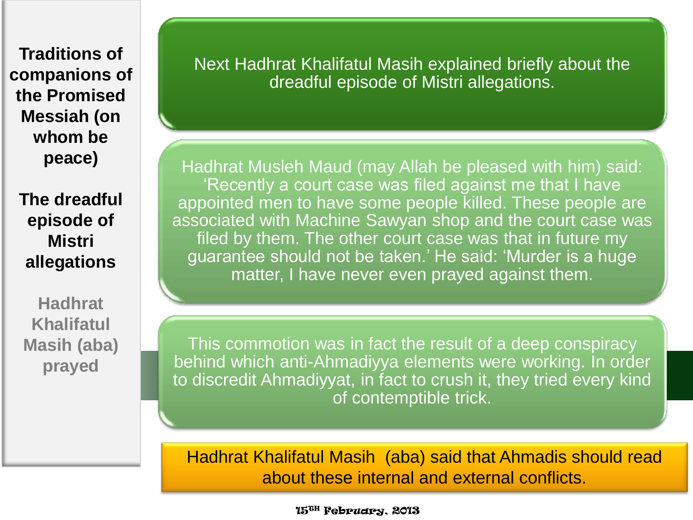**The dreadful episode of Mistri allegations**

**Hadhrat Khalifatul Masih (aba) prayed** 

Next Hadhrat Khalifatul Masih explained briefly about the dreadful episode of Mistri allegations.

Hadhrat Musleh Maud (may Allah be pleased with him) said: 'Recently a court case was filed against me that I have appointed men to have some people killed. These people are associated with Machine Sawyan shop and the court case was filed by them. The other court case was that in future my guarantee should not be taken.' He said: 'Murder is a huge matter, I have never even prayed against them.

This commotion was in fact the result of a deep conspiracy behind which anti-Ahmadiyya elements were working. In order to discredit Ahmadiyyat, in fact to crush it, they tried every kind of contemptible trick.

Hadhrat Khalifatul Masih (aba) said that Ahmadis should read about these internal and external conflicts.